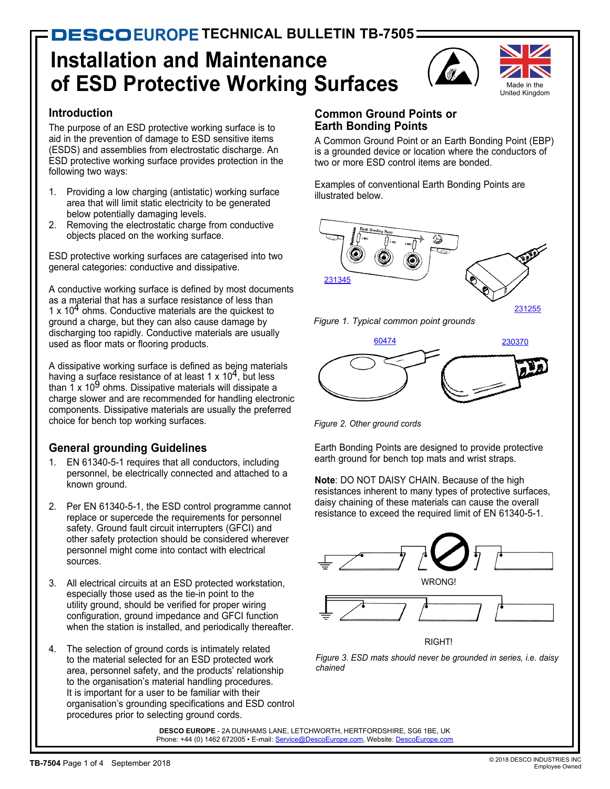# **Installation and Maintenance of ESD Protective Working Surfaces**



#### **Introduction**

The purpose of an ESD protective working surface is to aid in the prevention of damage to ESD sensitive items (ESDS) and assemblies from electrostatic discharge. An ESD protective working surface provides protection in the following two ways:

- 1. Providing a low charging (antistatic) working surface area that will limit static electricity to be generated below potentially damaging levels.
- 2. Removing the electrostatic charge from conductive objects placed on the working surface.

ESD protective working surfaces are catagerised into two general categories: conductive and dissipative.

A conductive working surface is defined by most documents as a material that has a surface resistance of less than 1 x  $10<sup>4</sup>$  ohms. Conductive materials are the quickest to ground a charge, but they can also cause damage by discharging too rapidly. Conductive materials are usually used as floor mats or flooring products.

A dissipative working surface is defined as being materials having a surface resistance of at least 1 x  $10<sup>4</sup>$ , but less than  $1 \times 10^9$  ohms. Dissipative materials will dissipate a charge slower and are recommended for handling electronic components. Dissipative materials are usually the preferred choice for bench top working surfaces.

## **General grounding Guidelines**

- EN 61340-5-1 requires that all conductors, including personnel, be electrically connected and attached to a known ground.
- 2. Per EN 61340-5-1, the ESD control programme cannot replace or supercede the requirements for personnel safety. Ground fault circuit interrupters (GFCI) and other safety protection should be considered wherever personnel might come into contact with electrical sources.
- 3. All electrical circuits at an ESD protected workstation, especially those used as the tie-in point to the utility ground, should be verified for proper wiring configuration, ground impedance and GFCI function when the station is installed, and periodically thereafter.
- 4. The selection of ground cords is intimately related to the material selected for an ESD protected work area, personnel safety, and the products' relationship to the organisation's material handling procedures. It is important for a user to be familiar with their organisation's grounding specifications and ESD control procedures prior to selecting ground cords.

## **Common Ground Points or Earth Bonding Points**

A Common Ground Point or an Earth Bonding Point (EBP) is a grounded device or location where the conductors of two or more ESD control items are bonded.

Examples of conventional Earth Bonding Points are illustrated below.







*Figure 2. Other ground cords*

Earth Bonding Points are designed to provide protective earth ground for bench top mats and wrist straps.

**Note**: DO NOT DAISY CHAIN. Because of the high resistances inherent to many types of protective surfaces, daisy chaining of these materials can cause the overall resistance to exceed the required limit of EN 61340-5-1.





*Figure 3. ESD mats should never be grounded in series, i.e. daisy chained*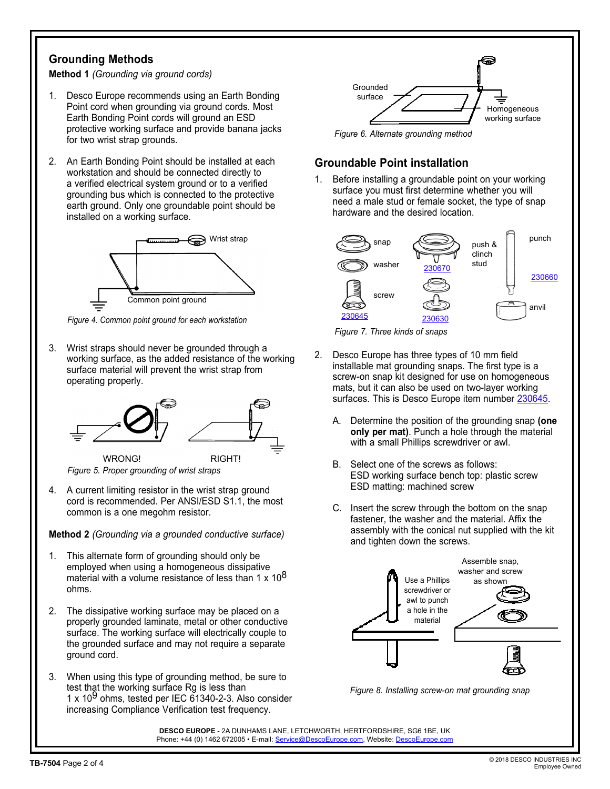### **Grounding Methods**

**Method 1** *(Grounding via ground cords)*

- 1. Desco Europe recommends using an Earth Bonding Point cord when grounding via ground cords. Most Earth Bonding Point cords will ground an ESD protective working surface and provide banana jacks for two wrist strap grounds.
- 2. An Earth Bonding Point should be installed at each workstation and should be connected directly to a verified electrical system ground or to a verified grounding bus which is connected to the protective earth ground. Only one groundable point should be installed on a working surface.



*Figure 4. Common point ground for each workstation*

3. Wrist straps should never be grounded through a working surface, as the added resistance of the working surface material will prevent the wrist strap from operating properly.



*Figure 5. Proper grounding of wrist straps*

4. A current limiting resistor in the wrist strap ground cord is recommended. Per ANSI/ESD S1.1, the most common is a one megohm resistor.

**Method 2** *(Grounding via a grounded conductive surface)*

- 1. This alternate form of grounding should only be employed when using a homogeneous dissipative material with a volume resistance of less than 1 x  $10^8$ ohms.
- 2. The dissipative working surface may be placed on a properly grounded laminate, metal or other conductive surface. The working surface will electrically couple to the grounded surface and may not require a separate ground cord.
- 3. When using this type of grounding method, be sure to test that the working surface Rg is less than 1 x 10<sup>9</sup> ohms, tested per IEC 61340-2-3. Also consider increasing Compliance Verification test frequency.



*Figure 6. Alternate grounding method*

### **Groundable Point installation**

1. Before installing a groundable point on your working surface you must first determine whether you will need a male stud or female socket, the type of snap hardware and the desired location.



*Figure 7. Three kinds of snaps*

- 2. Desco Europe has three types of 10 mm field installable mat grounding snaps. The first type is a screw-on snap kit designed for use on homogeneous mats, but it can also be used on two-layer working surfaces. This is Desco Europe item number [230645](http://www.vermason.co.uk/FullCatalog/BenchwareandFieldService/WorksurfaceHardware/230645/).
	- A. Determine the position of the grounding snap **(one only per mat)**. Punch a hole through the material with a small Phillips screwdriver or awl.
	- B. Select one of the screws as follows: ESD working surface bench top: plastic screw ESD matting: machined screw
	- C. Insert the screw through the bottom on the snap fastener, the washer and the material. Affix the assembly with the conical nut supplied with the kit and tighten down the screws.

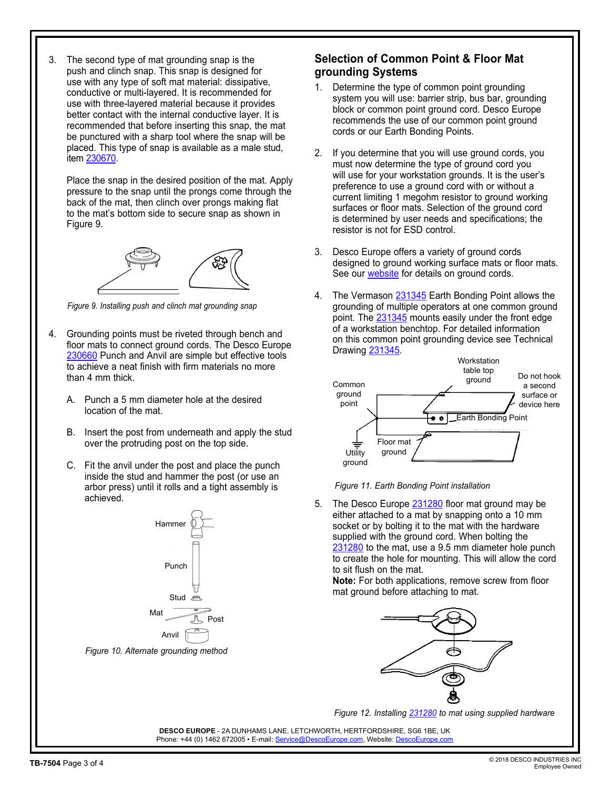3. The second type of mat grounding snap is the push and clinch snap. This snap is designed for use with any type of soft mat material: dissipative, conductive or multi-layered. It is recommended for use with three-layered material because it provides better contact with the internal conductive layer. It is recommended that before inserting this snap, the mat be punctured with a sharp tool where the snap will be placed. This type of snap is available as a male stud, item [230670](http://www.descoeurope.com/Search/230670/).

Place the snap in the desired position of the mat. Apply pressure to the snap until the prongs come through the back of the mat, then clinch over prongs making flat to the mat's bottom side to secure snap as shown in Figure 9.



*Figure 9. Installing push and clinch mat grounding snap*

- 4. Grounding points must be riveted through bench and floor mats to connect ground cords. The Desco Europe [230660](http://www.descoeurope.com/Search/230660/) Punch and Anvil are simple but effective tools to achieve a neat finish with firm materials no more than 4 mm thick.
	- A. Punch a 5 mm diameter hole at the desired location of the mat.
	- B. Insert the post from underneath and apply the stud over the protruding post on the top side.
	- C. Fit the anvil under the post and place the punch inside the stud and hammer the post (or use an arbor press) until it rolls and a tight assembly is achieved.



#### **Selection of Common Point & Floor Mat grounding Systems**

- 1. Determine the type of common point grounding system you will use: barrier strip, bus bar, grounding block or common point ground cord. Desco Europe recommends the use of our common point ground cords or our Earth Bonding Points.
- 2. If you determine that you will use ground cords, you must now determine the type of ground cord you will use for your workstation grounds. It is the user's preference to use a ground cord with or without a current limiting 1 megohm resistor to ground working surfaces or floor mats. Selection of the ground cord is determined by user needs and specifications; the resistor is not for ESD control.
- 3. Desco Europe offers a variety of ground cords designed to ground working surface mats or floor mats. See our [website](http://www.descoeurope.com/) for details on ground cords.
- 4. The Vermason [231345](http://www.descoeurope.com/Search/231345/) Earth Bonding Point allows the grounding of multiple operators at one common ground point. The [231345](http://www.descoeurope.com/Search/231345/) mounts easily under the front edge of a workstation benchtop. For detailed information on this common point grounding device see Technical Drawing [231345](http://documents.descoeurope.com/PDF/231345.pdf).



*Figure 11. Earth Bonding Point installation*

5. The Desco Europe [231280](http://www.descoeurope.com/Search/231280/) floor mat ground may be either attached to a mat by snapping onto a 10 mm socket or by bolting it to the mat with the hardware supplied with the ground cord. When bolting the [231280](http://www.descoeurope.com/Search/231280/) to the mat, use a 9.5 mm diameter hole punch to create the hole for mounting. This will allow the cord to sit flush on the mat.

**Note:** For both applications, remove screw from floor mat ground before attaching to mat.



*Figure 12. Installing [231280](http://www.descoeurope.com/Search/231280/) to mat using supplied hardware*